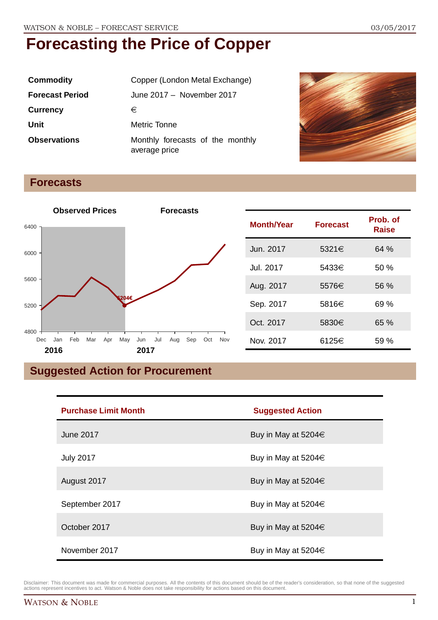| <b>Commodity</b>       | Copper (London Metal Exchange)                    |
|------------------------|---------------------------------------------------|
| <b>Forecast Period</b> | June 2017 - November 2017                         |
| <b>Currency</b>        | €                                                 |
| Unit                   | Metric Tonne                                      |
| <b>Observations</b>    | Monthly forecasts of the monthly<br>average price |



#### **Forecasts**



### **Suggested Action for Procurement**

| <b>Purchase Limit Month</b> | <b>Suggested Action</b>  |
|-----------------------------|--------------------------|
| <b>June 2017</b>            | Buy in May at 5204 $\in$ |
| <b>July 2017</b>            | Buy in May at 5204€      |
| August 2017                 | Buy in May at 5204 $\in$ |
| September 2017              | Buy in May at 5204 $\in$ |
| October 2017                | Buy in May at 5204 $\in$ |
| November 2017               | Buy in May at 5204€      |

Disclaimer: This document was made for commercial purposes. All the contents of this document should be of the reader's consideration, so that none of the suggested actions represent incentives to act. Watson & Noble does not take responsibility for actions based on this document.

**Raise**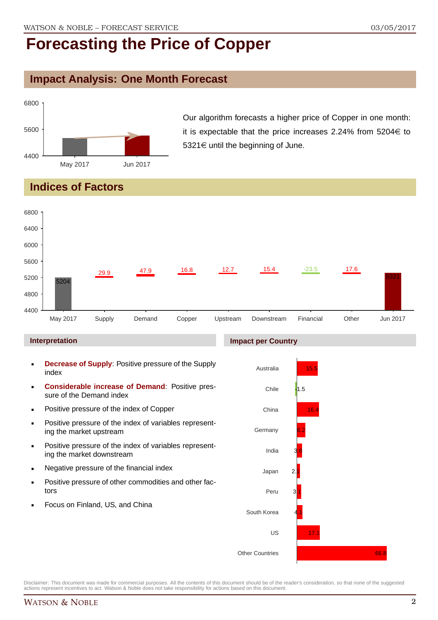### **Impact Analysis: One Month Forecast**



Our algorithm forecasts a higher price of Copper in one month: it is expectable that the price increases 2.24% from  $5204 \in$  to  $5321 \in$  until the beginning of June.

### **Indices of Factors**



- **Decrease of Supply**: Positive pressure of the Supply index
- **Considerable increase of Demand**: Positive pressure of the Demand index
- **Positive pressure of the index of Copper**
- **Positive pressure of the index of variables represent**ing the market upstream
- **Positive pressure of the index of variables represent**ing the market downstream
- **Negative pressure of the financial index**
- **Positive pressure of other commodities and other fac**tors
- Focus on Finland, US, and China



Disclaimer: This document was made for commercial purposes. All the contents of this document should be of the reader's consideration, so that none of the suggested actions represent incentives to act. Watson & Noble does not take responsibility for actions based on this document.

66.8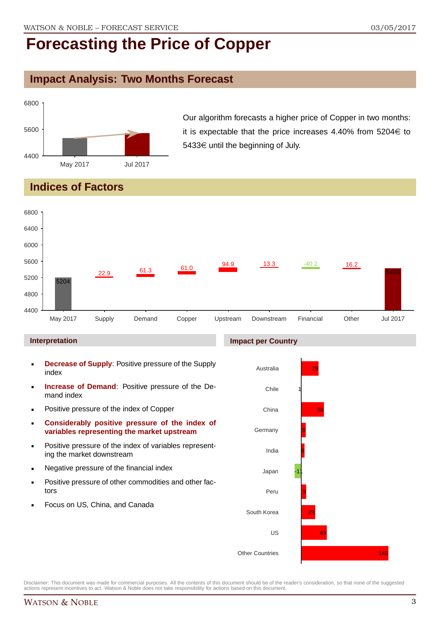### **Impact Analysis: Two Months Forecast**



Our algorithm forecasts a higher price of Copper in two months: it is expectable that the price increases 4.40% from  $5204 \in$  to 5433€ until the beginning of July.

### **Indices of Factors**

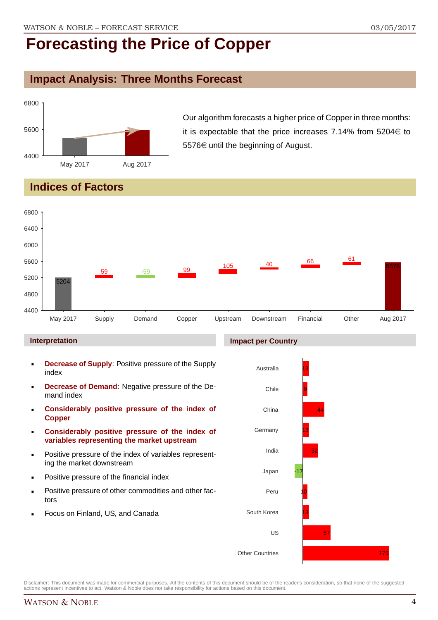### **Impact Analysis: Three Months Forecast**



Our algorithm forecasts a higher price of Copper in three months: it is expectable that the price increases 7.14% from  $5204 \in$  to 5576€ until the beginning of August.

### **Indices of Factors**



#### **Interpretation**

- **Decrease of Supply**: Positive pressure of the Supply index
- **Decrease of Demand**: Negative pressure of the Demand index
- **Considerably positive pressure of the index of Copper**
- **Considerably positive pressure of the index of variables representing the market upstream**
- Positive pressure of the index of variables representing the market downstream
- Positive pressure of the financial index
- Positive pressure of other commodities and other factors
- Focus on Finland, US, and Canada

#### **Impact per Country**

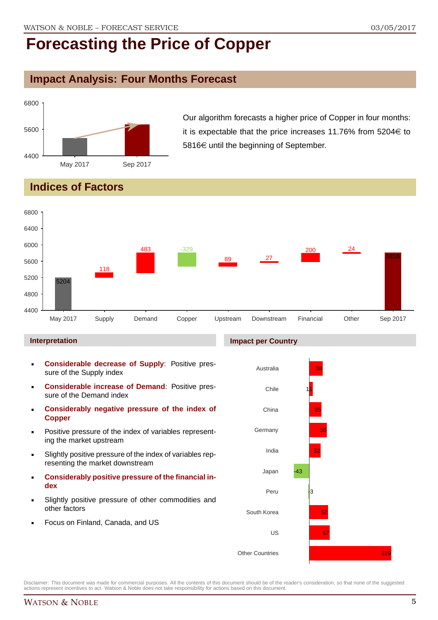### **Impact Analysis: Four Months Forecast**



Our algorithm forecasts a higher price of Copper in four months: it is expectable that the price increases 11.76% from  $5204 \in$  to  $5816 \in$  until the beginning of September.

### **Indices of Factors**



#### **Interpretation**

- **Considerable decrease of Supply**: Positive pressure of the Supply index
- **Considerable increase of Demand**: Positive pressure of the Demand index
- **Considerably negative pressure of the index of Copper**
- Positive pressure of the index of variables representing the market upstream
- Slightly positive pressure of the index of variables representing the market downstream
- **Considerably positive pressure of the financial index**
- Slightly positive pressure of other commodities and other factors
- Focus on Finland, Canada, and US



Disclaimer: This document was made for commercial purposes. All the contents of this document should be of the reader's consideration, so that none of the suggested actions represent incentives to act. Watson & Noble does not take responsibility for actions based on this document.

#### **Impact per Country**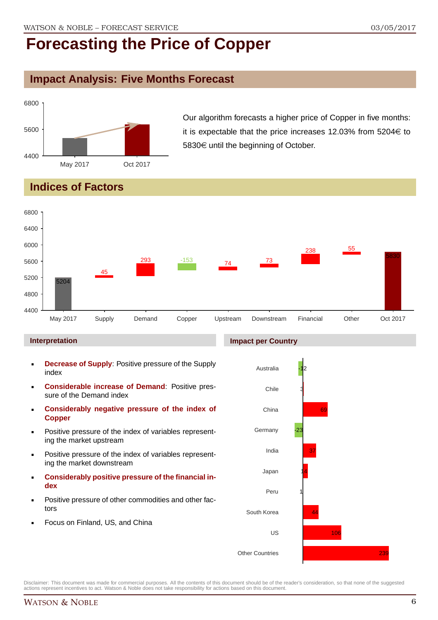### **Impact Analysis: Five Months Forecast**



Our algorithm forecasts a higher price of Copper in five months: it is expectable that the price increases 12.03% from  $5204 \in$  to 5830€ until the beginning of October.

### **Indices of Factors**



#### **Interpretation**

- **Decrease of Supply**: Positive pressure of the Supply index
- **Considerable increase of Demand**: Positive pressure of the Demand index
- **Considerably negative pressure of the index of Copper**
- Positive pressure of the index of variables representing the market upstream
- Positive pressure of the index of variables representing the market downstream
- **Considerably positive pressure of the financial index**
- Positive pressure of other commodities and other factors
- Focus on Finland, US, and China

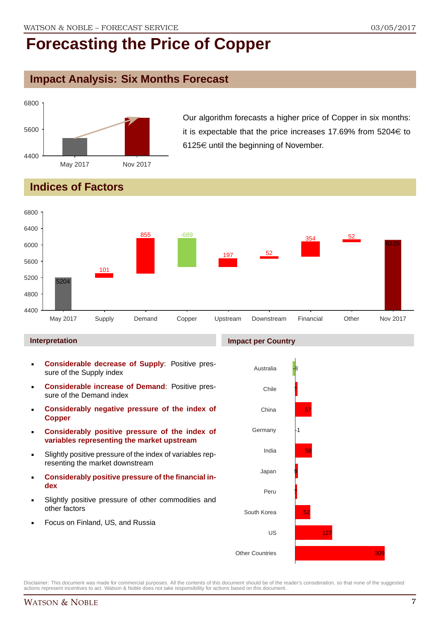### **Impact Analysis: Six Months Forecast**



Our algorithm forecasts a higher price of Copper in six months: it is expectable that the price increases 17.69% from 5204 $\in$  to 6125 $\in$  until the beginning of November.

### **Indices of Factors**



#### **Interpretation**

- **Considerable decrease of Supply**: Positive pressure of the Supply index
- **Considerable increase of Demand**: Positive pressure of the Demand index
- **Considerably negative pressure of the index of Copper**
- **Considerably positive pressure of the index of variables representing the market upstream**
- Slightly positive pressure of the index of variables representing the market downstream
- **Considerably positive pressure of the financial index**
- Slightly positive pressure of other commodities and other factors
- Focus on Finland, US, and Russia

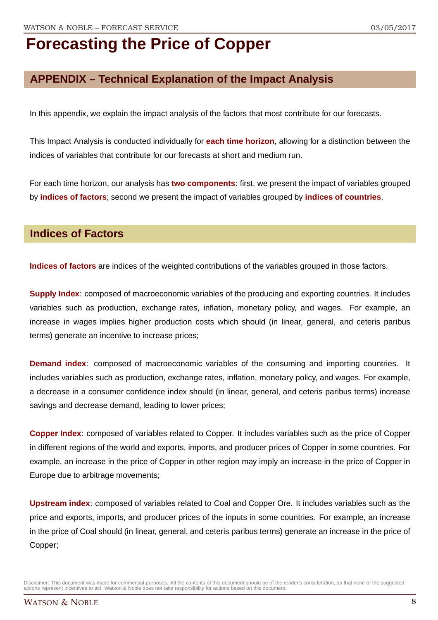### **APPENDIX – Technical Explanation of the Impact Analysis**

In this appendix, we explain the impact analysis of the factors that most contribute for our forecasts.

This Impact Analysis is conducted individually for **each time horizon**, allowing for a distinction between the indices of variables that contribute for our forecasts at short and medium run.

For each time horizon, our analysis has **two components**: first, we present the impact of variables grouped by **indices of factors**; second we present the impact of variables grouped by **indices of countries**.

### **Indices of Factors**

**Indices of factors** are indices of the weighted contributions of the variables grouped in those factors.

**Supply Index:** composed of macroeconomic variables of the producing and exporting countries. It includes variables such as production, exchange rates, inflation, monetary policy, and wages. For example, an increase in wages implies higher production costs which should (in linear, general, and ceteris paribus terms) generate an incentive to increase prices;

**Demand index**: composed of macroeconomic variables of the consuming and importing countries. It includes variables such as production, exchange rates, inflation, monetary policy, and wages. For example, a decrease in a consumer confidence index should (in linear, general, and ceteris paribus terms) increase savings and decrease demand, leading to lower prices;

**Copper Index**: composed of variables related to Copper. It includes variables such as the price of Copper in different regions of the world and exports, imports, and producer prices of Copper in some countries. For example, an increase in the price of Copper in other region may imply an increase in the price of Copper in Europe due to arbitrage movements;

**Upstream index**: composed of variables related to Coal and Copper Ore. It includes variables such as the price and exports, imports, and producer prices of the inputs in some countries. For example, an increase in the price of Coal should (in linear, general, and ceteris paribus terms) generate an increase in the price of Copper;